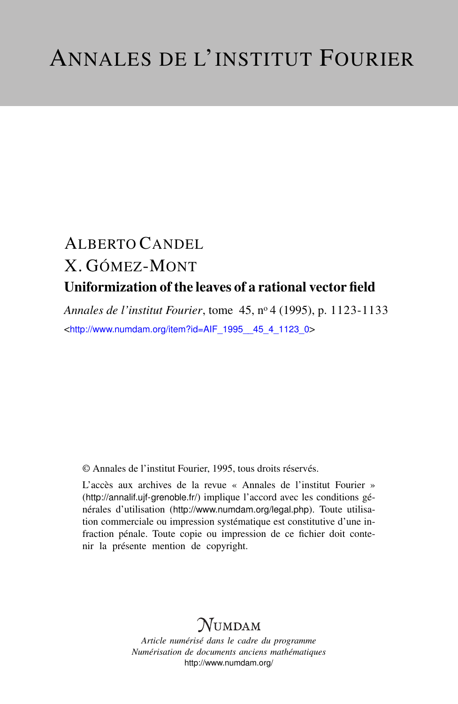# ALBERTO CANDEL X. GÓMEZ-MONT Uniformization of the leaves of a rational vector field

*Annales de l'institut Fourier*, tome 45, n<sup>o</sup> 4 (1995), p. 1123-1133 <[http://www.numdam.org/item?id=AIF\\_1995\\_\\_45\\_4\\_1123\\_0](http://www.numdam.org/item?id=AIF_1995__45_4_1123_0)>

© Annales de l'institut Fourier, 1995, tous droits réservés.

L'accès aux archives de la revue « Annales de l'institut Fourier » (<http://annalif.ujf-grenoble.fr/>) implique l'accord avec les conditions générales d'utilisation (<http://www.numdam.org/legal.php>). Toute utilisation commerciale ou impression systématique est constitutive d'une infraction pénale. Toute copie ou impression de ce fichier doit contenir la présente mention de copyright.

## NUMDAM

*Article numérisé dans le cadre du programme Numérisation de documents anciens mathématiques* <http://www.numdam.org/>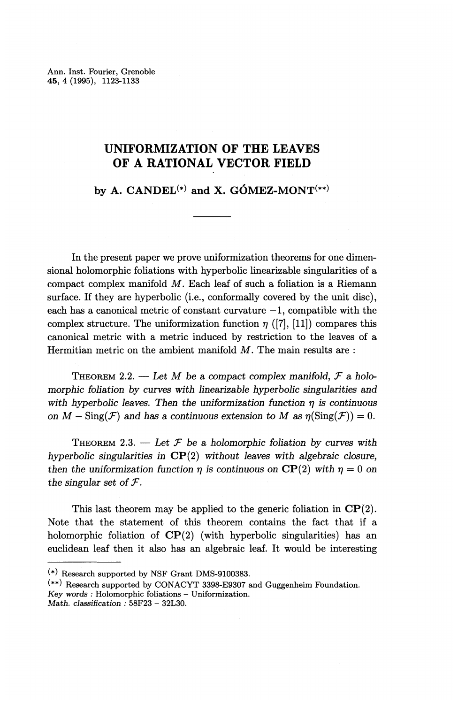Ann. Inst. Fourier, Grenoble **45,** 4 (1995), 1123-1133

### **UNIFORMIZATION OF THE LEAVES OF A RATIONAL VECTOR FIELD**

by A.  $CANDEL^{(*)}$  and X.  $GÓMEZ-MONT^{(**)}$ 

In the present paper we prove uniformization theorems for one dimensional holomorphic foliations with hyperbolic linearizable singularities of a compact complex manifold M. Each leaf of such a foliation is a Riemann surface. If they are hyperbolic (i.e., conformally covered by the unit disc), each has a canonical metric of constant curvature  $-1$ , compatible with the complex structure. The uniformization function  $\eta$  ([7], [11]) compares this canonical metric with a metric induced by restriction to the leaves of a Hermitian metric on the ambient manifold *M.* The main results are :

THEOREM 2.2. — *Let M be a compact complex manifold, F a holomorphic foliation by curves with linearizable hyperbolic singularities and* with hyperbolic leaves. Then the uniformization function  $\eta$  is continuous *on*  $M - \text{Sing}(\mathcal{F})$  and has a continuous extension to M as  $\eta(\text{Sing}(\mathcal{F})) = 0$ .

THEOREM 2.3. — Let  $\mathcal F$  be a holomorphic foliation by curves with *hyperbolic singularities in* CP(2) without leaves *with algebraic closure, then the uniformization function*  $\eta$  *is continuous on* CP(2) with  $\eta = 0$  on the singular set of  $\mathcal{F}$ .

This last theorem may be applied to the generic foliation in  $\mathbf{CP}(2)$ . Note that the statement of this theorem contains the fact that if a holomorphic foliation of  $\mathbf{CP}(2)$  (with hyperbolic singularities) has an euclidean leaf then it also has an algebraic leaf. It would be interesting

<sup>(\*)</sup> Research supported by NSF Grant DMS-9100383.

<sup>(\*\*)</sup> Research supported by CONACYT 3398-E9307 and Guggenheim Foundation. *Key words :* Holomorphic foliations — Uniformization. Math. *classification :* 58F23 - 32L30.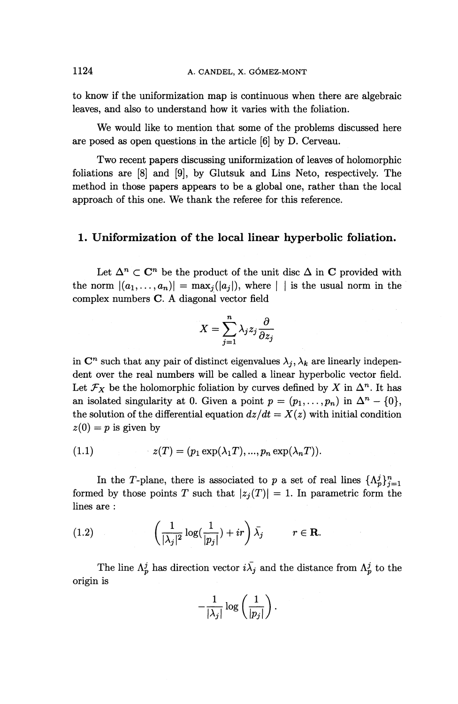to know if the uniformization map is continuous when there are algebraic leaves, and also to understand how it varies with the foliation.

We would like to mention that some of the problems discussed here are posed as open questions in the article [6] by D. Cerveau.

Two recent papers discussing uniformization of leaves of holomorphic foliations are [8] and [9], by Glutsuk and Lins Neto, respectively. The method in those papers appears to be a global one, rather than the local approach of this one. We thank the referee for this reference.

#### **1. Uniformization of the local linear hyperbolic foliation.**

Let  $\Delta^n \subset \mathbb{C}^n$  be the product of the unit disc  $\Delta$  in C provided with the norm  $|(a_1,\ldots,a_n)| = \max_i(|a_i|)$ , where  $|$  is the usual norm in the complex numbers C. A diagonal vector field

$$
X = \sum_{j=1}^{n} \lambda_j z_j \frac{\partial}{\partial z_j}
$$

in  $\mathbb{C}^n$  such that any pair of distinct eigenvalues  $\lambda_j, \lambda_k$  are linearly independent over the real numbers will be called a linear hyperbolic vector field. Let  $\mathcal{F}_X$  be the holomorphic foliation by curves defined by X in  $\Delta^n$ . It has an isolated singularity at 0. Given a point  $p = (p_1, \ldots, p_n)$  in  $\Delta^n - \{0\}$ , the solution of the differential equation  $dz/dt = X(z)$  with initial condition  $z(0) = p$  is given by

$$
(1.1) \t z(T) = (p_1 \exp(\lambda_1 T), ..., p_n \exp(\lambda_n T)).
$$

In the T-plane, there is associated to p a set of real lines  $\{\Lambda_p^j\}_{i=1}^n$ formed by those points T such that  $|z_i(T)| = 1$ . In parametric form the lines are :

(1.2) 
$$
\left(\frac{1}{|\lambda_j|^2} \log(\frac{1}{|p_j|}) + ir\right) \bar{\lambda_j} \qquad r \in \mathbf{R}.
$$

The line  $\Lambda_p^j$  has direction vector  $i\bar{\lambda}_j$  and the distance from  $\Lambda_p^j$  to the origin is

$$
-\frac{1}{|\lambda_j|}\log\left(\frac{1}{|p_j|}\right).
$$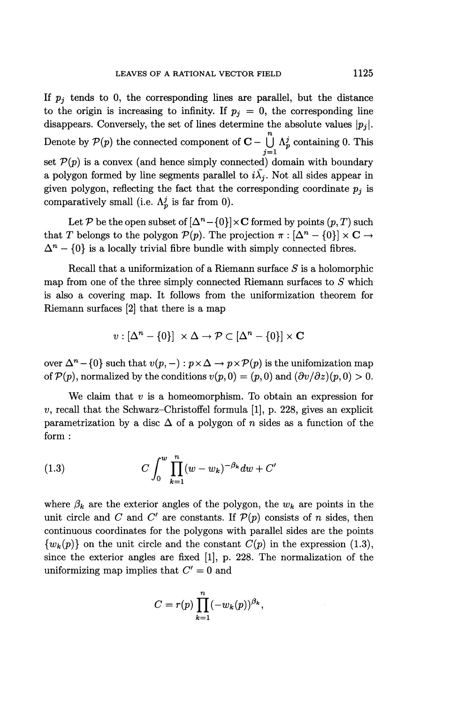If  $p_i$  tends to 0, the corresponding lines are parallel, but the distance to the origin is increasing to infinity. If  $p_i = 0$ , the corresponding line disappears. Conversely, the set of lines determine the absolute values  $\vert p_j \vert$ . Denote by  $P(p)$  the connected component of  $\mathbf{C} - \bigcup_{i=1}^{n} \Lambda_p^j$  containing 0. This  $j=1$ set  $P(p)$  is a convex (and hence simply connected) domain with boundary a polygon formed by line segments parallel to  $i\overline{\lambda}_i$ . Not all sides appear in given polygon, reflecting the fact that the corresponding coordinate  $p_j$  is comparatively small (i.e.  $\Lambda_p^j$  is far from 0).

Let P be the open subset of  $[\Delta^n - \{0\}] \times C$  formed by points  $(p, T)$  such Let P be the open subset of  $\left[\Delta^n - \{0\}\right] \times \mathbf{C}$  formed by points  $(p, T)$  such that T belongs to the polygon  $\mathcal{P}(p)$ . The projection  $\pi : \left[\Delta^n - \{0\}\right] \times \mathbf{C} \to$  $\Delta^n - \{0\}$  is a locally trivial fibre bundle with simply connected fibres.

Recall that a uniformization of a Riemann surface *S* is a holomorphic map from one of the three simply connected Riemann surfaces to *S* which is also a covering map. It follows from the uniformization theorem for Riemann surfaces [2] that there is a map

$$
v : [\Delta^n - \{0\}] \times \Delta \to \mathcal{P} \subset [\Delta^n - \{0\}] \times \mathbf{C}
$$

over  $\Delta^n - \{0\}$  such that  $v(p, -) : p \times \Delta \to p \times \mathcal{P}(p)$  is the unifomization map of  $\mathcal{P}(p)$ , normalized by the conditions  $v(p, 0) = (p, 0)$  and  $(\partial v/\partial z)(p, 0) > 0$ .

We claim that *v* is a homeomorphism. To obtain an expression for  $v$ , recall that the Schwarz-Christoffel formula [1], p. 228, gives an explicit parametrization by a disc  $\Delta$  of a polygon of *n* sides as a function of the form :

(1.3) 
$$
C \int_0^w \prod_{k=1}^n (w - w_k)^{-\beta_k} dw + C'
$$

where  $\beta_k$  are the exterior angles of the polygon, the  $w_k$  are points in the unit circle and C and C' are constants. If  $\mathcal{P}(p)$  consists of n sides, then continuous coordinates for the polygons with parallel sides are the points  $\{w_k(p)\}\$  on the unit circle and the constant  $C(p)$  in the expression (1.3), since the exterior angles are fixed [I], p. 228. The normalization of the uniformizing map implies that *C' =* 0 and

$$
C = r(p) \prod_{k=1}^{n} (-w_k(p))^{\beta_k},
$$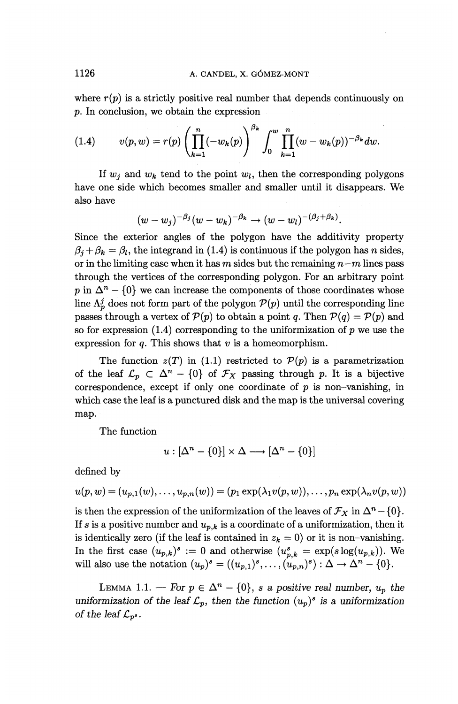where  $r(p)$  is a strictly positive real number that depends continuously on *p.* In conclusion, we obtain the expression

(1.4) 
$$
v(p, w) = r(p) \left( \prod_{k=1}^{n} (-w_k(p)) \right)^{\beta_k} \int_0^w \prod_{k=1}^{n} (w - w_k(p))^{-\beta_k} dw.
$$

If  $w_i$  and  $w_k$  tend to the point  $w_i$ , then the corresponding polygons have one side which becomes smaller and smaller until it disappears. We also have

$$
(w-w_j)^{-\beta_j}(w-w_k)^{-\beta_k} \to (w-w_l)^{-(\beta_j+\beta_k)}.
$$

Since the exterior angles of the polygon have the additivity property  $\beta_i + \beta_k = \beta_l$ , the integrand in (1.4) is continuous if the polygon has *n* sides, or in the limiting case when it has *m* sides but the remaining *n—m* lines pass through the vertices of the corresponding polygon. For an arbitrary point p in  $\Delta^n - \{0\}$  we can increase the components of those coordinates whose line  $\Lambda_p^j$  does not form part of the polygon  $\mathcal{P}(p)$  until the corresponding line passes through a vertex of  $P(p)$  to obtain a point q. Then  $P(q) = P(p)$  and so for expression  $(1.4)$  corresponding to the uniformization of p we use the expression for *q.* This shows that *v* is a homeomorphism.

The function  $z(T)$  in (1.1) restricted to  $\mathcal{P}(p)$  is a parametrization The function  $z(T)$  in (1.1) restricted to  $\mathcal{P}(p)$  is a parametrization<br>of the leaf  $\mathcal{L}_p \subset \Delta^n - \{0\}$  of  $\mathcal{F}_X$  passing through p. It is a bijective correspondence, except if only one coordinate of *p* is non-vanishing, in which case the leaf is a punctured disk and the map is the universal covering map.

The function

$$
u : [\Delta^n - \{0\}] \times \Delta \longrightarrow [\Delta^n - \{0\}]
$$

defined by

$$
u(p,w)=(u_{p,1}(w),\ldots,u_{p,n}(w))=(p_1\exp(\lambda_1v(p,w)),\ldots,p_n\exp(\lambda_nv(p,w))
$$

is then the expression of the uniformization of the leaves of  $\mathcal{F}_X$  in  $\Delta^n - \{0\}$ . If  $s$  is a positive number and  $u_{p,k}$  is a coordinate of a uniformization, then it is identically zero (if the leaf is contained in  $z_k = 0$ ) or it is non-vanishing. In the first case  $(u_{p,k})^s := 0$  and otherwise  $(u_{p,k}^s) = \exp(s\log(u_{p,k}))$ . We In the first case  $(u_{p,k})^s := 0$  and otherwise  $(u_{p,k}^s = \exp(s \log(u_{p,k}))$ .<br>will also use the notation  $(u_p)^s = ((u_{p,1})^s, \ldots, (u_{p,n})^s) : \Delta \to \Delta^n - \{0\}$ 

LEMMA 1.1. — For  $p \in \Delta^n - \{0\}$ , *s* a positive real number,  $u_p$  the uniformization of the leaf  $\mathcal{L}_p$ , then the function  $(u_p)^s$  is a uniformization *of the leaf*  $\mathcal{L}_{p^s}$ .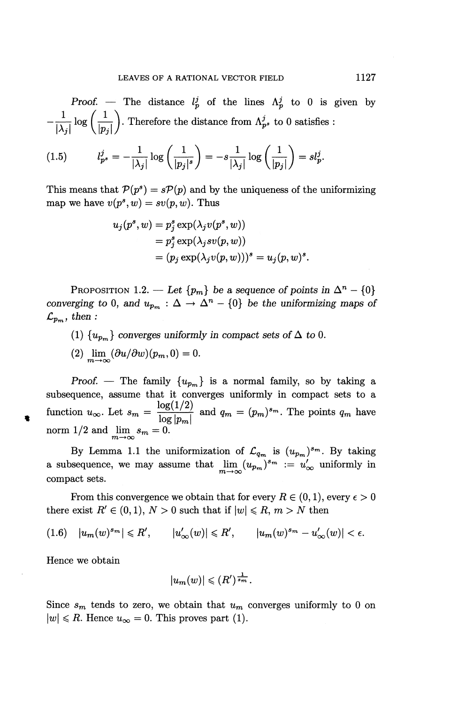*Proof.* — The distance  $l_p^j$  of the lines  $\Lambda_p^j$  to 0 is given by  $-\frac{1}{|\lambda_1|} \log \left(\frac{1}{|n_2|}\right)$ . Therefore the distance from  $\Lambda_p^j$  to 0 satisfies :

$$
(1.5) \t l_{p^s}^j = -\frac{1}{|\lambda_j|} \log \left( \frac{1}{|p_j|^s} \right) = -s \frac{1}{|\lambda_j|} \log \left( \frac{1}{|p_j|} \right) = s l_p^j.
$$

This means that  $\mathcal{P}(p^s) = s\mathcal{P}(p)$  and by the uniqueness of the uniformizing map we have  $v(p^s, w) = sv(p, w)$ . Thus

$$
u_j(p^s, w) = p_j^s \exp(\lambda_j v(p^s, w))
$$
  
=  $p_j^s \exp(\lambda_j s v(p, w))$   
=  $(p_j \exp(\lambda_j v(p, w)))^s = u_j(p, w)^s$ 

PROPOSITION 1.2. — Let  $\{p_m\}$  be a sequence of points in  $\Delta^n - \{0\}$ *converging to* 0, and  $u_{p_m}$  :  $\Delta \rightarrow \Delta^n - \{0\}$  be the uniformizing maps of  $\mathcal{L}_{p_m}$ , then :

- (1)  $\{u_{p_m}\}\$ converges uniformly in compact sets of  $\Delta$  to 0.
- (2)  $\lim_{m\to\infty} (\partial u/\partial w)(p_m,0)=0.$

*Proof.* – The family  $\{u_{p_m}\}\$ is a normal family, so by taking a subsequence, assume that it converges uniformly in compact sets to a function  $u_{\infty}$ . Let  $s_m = \frac{\log(1/2)}{\log |p_m|}$  and  $q_m = (p_m)^{s_m}$ . The points  $q_m$  have norm  $1/2$  and  $\lim_{m \to \infty} s_m = 0$ .

By Lemma 1.1 the uniformization of  $\mathcal{L}_{q_m}$  is  $(u_{p_m})^{s_m}$ . By taking a subsequence, we may assume that  $\lim_{m\to\infty} (u_{p_m})^{s_m} := u'_\infty$  uniformly in compact sets.

From this convergence we obtain that for every  $R \in (0,1)$ , every  $\epsilon > 0$ there exist  $R' \in (0,1)$ ,  $N > 0$  such that if  $|w| \le R$ ,  $m > N$  then

$$
(1.6) \quad |u_m(w)^{s_m}| \leq R', \qquad |u'_\infty(w)| \leq R', \qquad |u_m(w)^{s_m} - u'_\infty(w)| < \epsilon.
$$

**Hence we obtain**

$$
|u_m(w)| \leqslant (R')^{\frac{1}{s_m}}.
$$

Since  $s_m$  tends to zero, we obtain that  $u_m$  converges uniformly to 0 on  $|w| \le R$ . Hence  $u_{\infty} = 0$ . This proves part (1).

*.*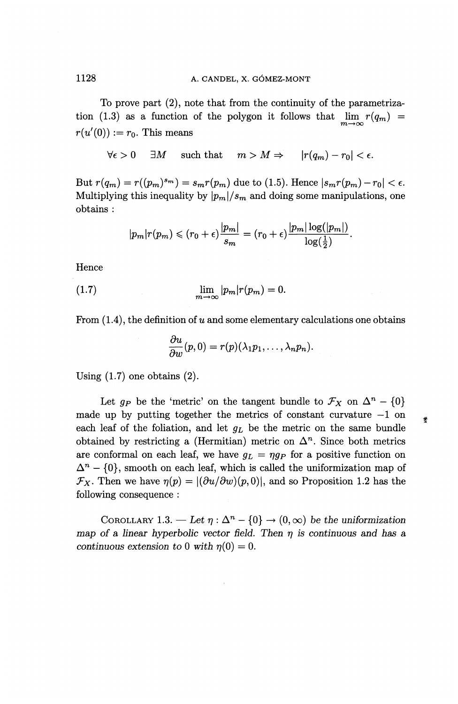To prove part (2), note that from the continuity of the parametrization (1.3) as a function of the polygon it follows that  $\lim_{m\to\infty} r(q_m)$  $r(u'(0)) := r_0$ . This means

 $\forall \epsilon > 0$   $\exists M$  such that  $m > M \Rightarrow |r(q_m) - r_0| < \epsilon$ .

But  $r(q_m) = r((p_m)^{s_m}) = s_m r(p_m)$  due to (1.5). Hence  $|s_m r(p_m) - r_0| < \epsilon$ . Multiplying this inequality by  $|p_m|/s_m$  and doing some manipulations, one obtains :

$$
|p_m|r(p_m)\leqslant (r_0+\epsilon)\frac{|p_m|}{s_m}=(r_0+\epsilon)\frac{|p_m|\log(|p_m|)}{\log(\frac{1}{2})}.
$$

Hence

(1.7) 
$$
\lim_{m \to \infty} |p_m| r(p_m) = 0.
$$

From  $(1.4)$ , the definition of u and some elementary calculations one obtains

$$
\frac{\partial u}{\partial w}(p,0)=r(p)(\lambda_1p_1,\ldots,\lambda_np_n).
$$

**Using** (1.7) **one obtains** (2).

Let  $g_P$  be the 'metric' on the tangent bundle to  $\mathcal{F}_X$  on  $\Delta^n - \{0\}$ made up by putting together the metrics of constant curvature  $-1$  on each leaf of the foliation, and let *QL* be the metric on the same bundle obtained by restricting a (Hermitian) metric on  $\Delta^n$ . Since both metrics are conformal on each leaf, we have  $g_L = \eta g_P$  for a positive function on  $\Delta^n$ : conformal on each leaf, we have  $g_L = \eta g_P$  for a positive function or  $- \{0\}$ , smooth on each leaf, which is called the uniformization map of  $\mathcal{F}_X$ . Then we have  $\eta(p) = |(\partial u/\partial w)(p,0)|$ , and so Proposition 1.2 has the following consequence :

营

COROLLARY 1.3. — Let  $\eta : \Delta^n - \{0\} \to (0, \infty)$  be the uniformization *map of a linear hyperbolic vector field. Then*  $\eta$  *is continuous and has a continuous extension to* 0 with  $\eta(0) = 0$ .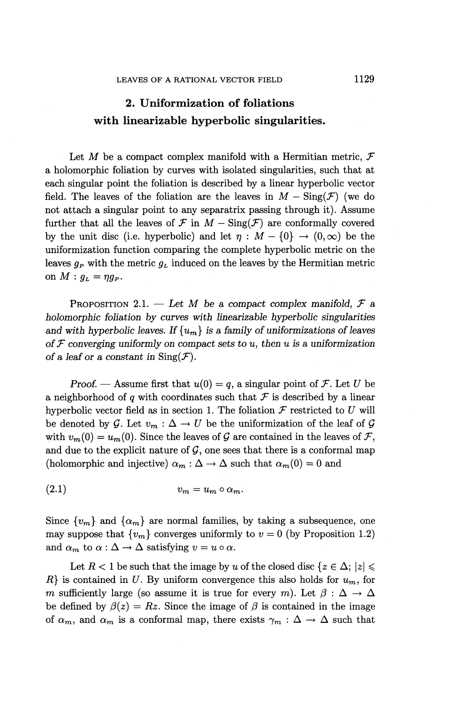### **2. Uniformization of foliations with linearizable hyperbolic singularities.**

Let M be a compact complex manifold with a Hermitian metric,  $\mathcal F$ a holomorphic foliation by curves with isolated singularities, such that at each singular point the foliation is described by a linear hyperbolic vector field. The leaves of the foliation are the leaves in  $M - \text{Sing}(\mathcal{F})$  (we do not attach a singular point to any separatrix passing through it). Assume further that all the leaves of  $\mathcal F$  in  $M - \text{Sing}(\mathcal F)$  are conformally covered by the unit disc (i.e. hyperbolic) and let  $\eta : M - \{0\} \to (0, \infty)$  be the uniformization function comparing the complete hyperbolic metric on the leaves  $g_P$  with the metric  $g_L$  induced on the leaves by the Hermitian metric on  $M : g_L = \eta g_P$ .

PROPOSITION 2.1. — Let M be a compact complex manifold,  $\mathcal F$  a *holomorphic foliation by curves with linearizable hyperbolic singularities* and with hyperbolic leaves. If  $\{u_m\}$  is a family of uniformizations of leaves of  $\mathcal F$  converging uniformly on compact sets to u, then u is a uniformization *of a leaf or a constant in*  $\text{Sing}(\mathcal{F})$ .

*Proof.* — Assume first that  $u(0) = q$ , a singular point of *F*. Let *U* be a neighborhood of *q* with coordinates such that *F* is described by a linear hyperbolic vector field as in section 1. The foliation  $\mathcal F$  restricted to  $U$  will be denoted by  $\mathcal{G}$ . Let  $v_m : \Delta \to U$  be the uniformization of the leaf of  $\mathcal{G}$ with  $v_m(0) = u_m(0)$ . Since the leaves of  $\mathcal G$  are contained in the leaves of  $\mathcal F$ , and due to the explicit nature of  $G$ , one sees that there is a conformal map (holomorphic and injective)  $\alpha_m : \Delta \to \Delta$  such that  $\alpha_m(0) = 0$  and

(2.1)  $v_m = u_m \circ \alpha_m$ .

Since  $\{v_m\}$  and  $\{\alpha_m\}$  are normal families, by taking a subsequence, one may suppose that  $\{v_m\}$  converges uniformly to  $v = 0$  (by Proposition 1.2) and  $\alpha_m$  to  $\alpha : \Delta \to \Delta$  satisfying  $v = u \circ \alpha$ .

Let  $R < 1$  be such that the image by *u* of the closed disc  $\{z \in \Delta; |z| \leq \Delta\}$  $R$ <sup>}</sup> is contained in *U*. By uniform convergence this also holds for  $u_m$ , for *m* sufficiently large (so assume it is true for every *m*). Let  $\beta : \Delta \to \Delta$ be defined by  $\beta(z) = Rz$ . Since the image of  $\beta$  is contained in the image of  $\alpha_m$ , and  $\alpha_m$  is a conformal map, there exists  $\gamma_m : \Delta \to \Delta$  such that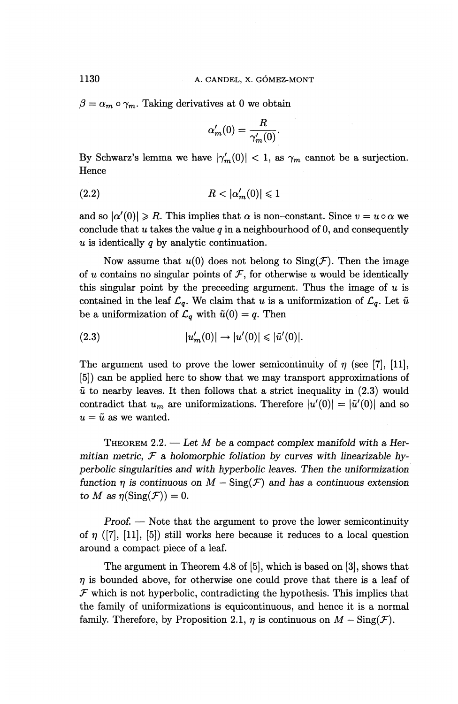$\beta = \alpha_m \circ \gamma_m$ . Taking derivatives at 0 we obtain

$$
\alpha'_m(0) = \frac{R}{\gamma'_m(0)}.
$$

By Schwarz's lemma we have  $|\gamma'_m(0)| < 1$ , as  $\gamma_m$  cannot be a surjection. Hence

$$
(2.2) \t\t R < |\alpha_m'(0)| \leq 1
$$

and so  $|\alpha'(0)| \ge R$ . This implies that  $\alpha$  is non-constant. Since  $v = u \circ \alpha$  we conclude that  $u$  takes the value  $q$  in a neighbourhood of 0, and consequently *u* is identically *q* by analytic continuation.

Now assume that  $u(0)$  does not belong to  $\text{Sing}(\mathcal{F})$ . Then the image of u contains no singular points of  $F$ , for otherwise u would be identically this singular point by the preceeding argument. Thus the image of  $u$  is contained in the leaf  $\mathcal{L}_q$ . We claim that *u* is a uniformization of  $\mathcal{L}_q$ . Let  $\tilde{u}$ be a uniformization of  $\mathcal{L}_q$  with  $\tilde{u}(0) = q$ . Then<br>
(2.3)  $|u'_m(0)| \to |u'(0)| \leq |\tilde{u}'(0)|.$ 

$$
(2.3) \t\t |u'_m(0)| \to |u'(0)| \leq |\tilde{u}'(0)|.
$$

The argument used to prove the lower semicontinuity of  $\eta$  (see [7], [11], [5]) can be applied here to show that we may transport approximations of  $\tilde{u}$  to nearby leaves. It then follows that a strict inequality in  $(2.3)$  would contradict that  $u_m$  are uniformizations. Therefore  $|u'(0)| = |\tilde{u}'(0)|$  and so  $u = \tilde{u}$  as we wanted.

THEOREM 2.2. — *Let M be* a *compact complex manifold with a Hermitian metric, F a holomorphic foliation by curves with linearizable hyperbolic singularities and with hyperbolic leaves. Then the uniformization function*  $\eta$  *is continuous on*  $M - \text{Sing}(\mathcal{F})$  and has a continuous extension *to M* as  $\eta(\text{Sing}(\mathcal{F})) = 0$ .

*Proof. —* Note that the argument to prove the lower semicontinuity of  $\eta$  ([7], [11], [5]) still works here because it reduces to a local question around a compact piece of a leaf.

The argument in Theorem 4.8 of [5], which is based on [3], shows that *n* is bounded above, for otherwise one could prove that there is a leaf of  $F$  which is not hyperbolic, contradicting the hypothesis. This implies that the family of uniformizations is equicontinuous, and hence it is a normal family. Therefore, by Proposition 2.1,  $\eta$  is continuous on  $M - \text{Sing}(\mathcal{F})$ .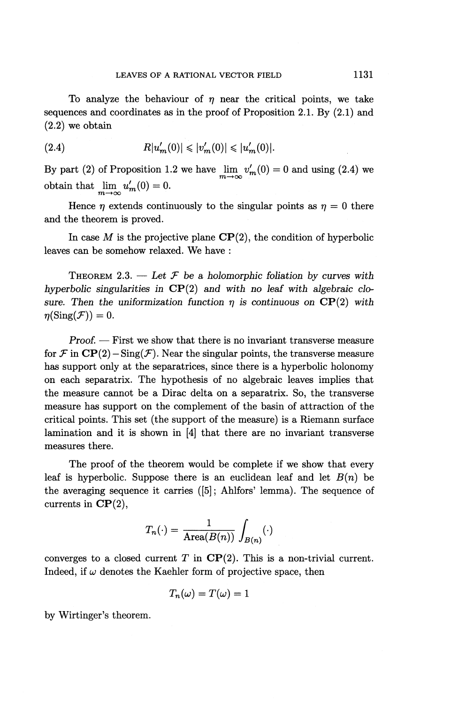To analyze the behaviour of  $\eta$  near the critical points, we take sequences and coordinates as in the proof of Proposition 2.1. By (2.1) and (2.2) we obtain

(2.4) 
$$
R|u'_{m}(0)| \leqslant |v'_{m}(0)| \leqslant |u'_{m}(0)|.
$$

By part (2) of Proposition 1.2 we have  $\lim_{m \to \infty} v'_m(0) = 0$  and using (2.4) we obtain that  $\lim_{m \to \infty} u'_m(0) = 0.$ 

Hence  $\eta$  extends continuously to the singular points as  $\eta = 0$  there and the theorem is proved.

In case  $M$  is the projective plane  $\mathbf{CP}(2)$ , the condition of hyperbolic leaves can be somehow relaxed. We have :

THEOREM 2.3.  $-$  Let  $\mathcal F$  be a holomorphic foliation by curves with *hyperbolic singularities in* CP(2) *and with no leaf with algebraic clo*sure. Then the uniformization function  $\eta$  is continuous on  $\mathbf{CP}(2)$  with  $\eta(\operatorname{Sing}(\mathcal{F})) = 0.$ 

*Proof. —* First we show that there is no invariant transverse measure for  $\mathcal F$  in  $\mathbf{CP}(2) - \text{Sing}(\mathcal F)$ . Near the singular points, the transverse measure has support only at the separatrices, since there is a hyperbolic holonomy on each separatrix. The hypothesis of no algebraic leaves implies that the measure cannot be a Dirac delta on a separatrix. So, the transverse measure has support on the complement of the basin of attraction of the critical points. This set (the support of the measure) is a Riemann surface lamination and it is shown in [4] that there are no invariant transverse measures there.

The proof of the theorem would be complete if we show that every leaf is hyperbolic. Suppose there is an euclidean leaf and let *B{n)* be the averaging sequence it carries  $([5]$ ; Ahlfors' lemma). The sequence of currents in  $\mathbf{CP}(2)$ ,

$$
T_n(\cdot) = \frac{1}{\mathrm{Area}(B(n))} \int_{B(n)} (\cdot)
$$

converges to a closed current  $T$  in  $\mathbf{CP}(2)$ . This is a non-trivial current. Indeed, if  $\omega$  denotes the Kaehler form of projective space, then

$$
T_n(\omega) = T(\omega) = 1
$$

by Wirtinger's theorem.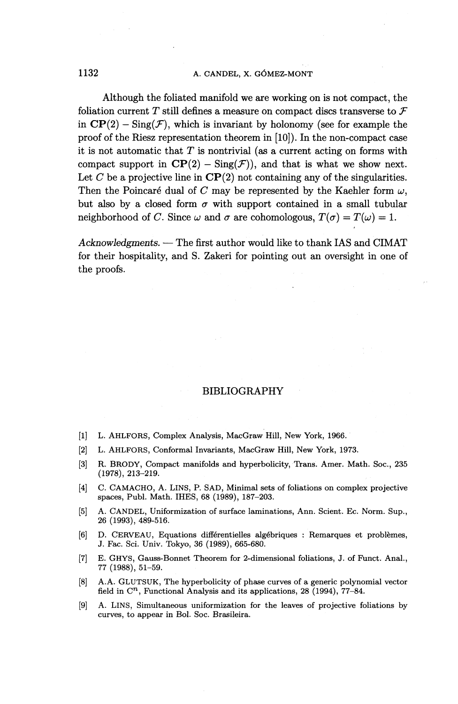Although the foliated manifold we are working on is not compact, the foliation current *T* still defines a measure on compact discs transverse to *F* in  $\mathbf{CP}(2) - \text{Sing}(\mathcal{F})$ , which is invariant by holonomy (see for example the proof of the Riesz representation theorem in [10]). In the non-compact case it is not automatic that *T* is nontrivial (as a current acting on forms with compact support in  $\mathbf{CP}(2)$  –  $\text{Sing}(\mathcal{F})$ ), and that is what we show next. Let C be a projective line in  $\mathbf{CP}(2)$  not containing any of the singularities. Then the Poincaré dual of C may be represented by the Kaehler form  $\omega$ , but also by a closed form  $\sigma$  with support contained in a small tubular neighborhood of *C*. Since  $\omega$  and  $\sigma$  are cohomologous,  $T(\sigma) = T(\omega) = 1$ .

*Acknowledgments. —* The first author would like to thank IAS and CIMAT for their hospitality, and S. Zakeri for pointing out an oversight in one of the proofs.

#### BIBLIOGRAPHY

- [1] L. AHLFORS, Complex Analysis, MacGraw Hill, New York, 1966.
- [2] L. AHLFORS, Conformal Invariants, MacGraw Hill, New York, 1973.
- [3] R. BRODY, Compact manifolds and hyperbolicity, Trans. Amer. Math. Soc., 235 (1978), 213-219.
- [4] C. CAMACHO, A. LINS, P. SAD, Minimal sets of foliations on complex projective spaces, Publ. Math. IHES, 68 (1989), 187-203.
- [5] A. CANDEL, Uniformization of surface laminations, Ann. Scient. EC. Norm. Sup., 26 (1993), 489-516.
- [6] D. CERVEAU, Equations different ielles algebriques : Remarques et problemes, J. Fac. Sci. Univ. Tokyo, 36 (1989), 665-680.
- [7] E. GHYS, Gauss-Bonnet Theorem for 2-dimensional foliations, J. of Funct. Anal., 77 (1988), 51-59.
- [8] A.A. GLUTSUK, The hyperbolicity of phase curves of a generic polynomial vector field in  $\mathbb{C}^n$ , Functional Analysis and its applications, 28 (1994), 77–84.
- [9] A. LINS, Simultaneous uniformization for the leaves of projective foliations by curves, to appear in Bol. Soc. Brasileira.